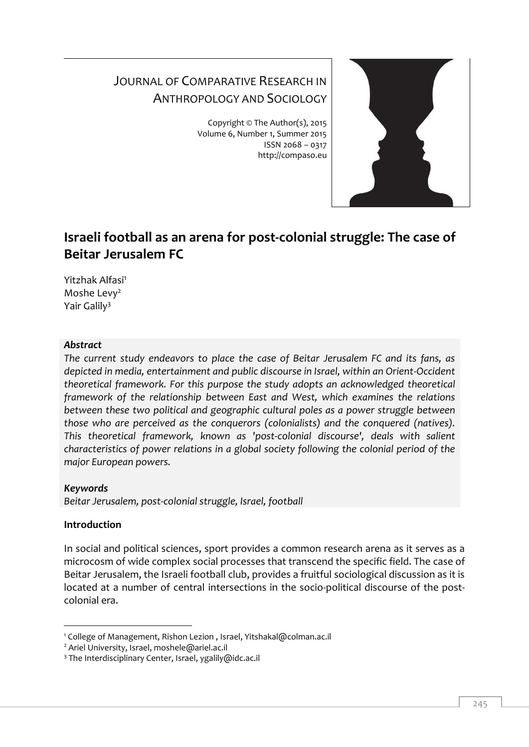## JOURNAL OF COMPARATIVE RESEARCH IN ANTHROPOLOGY AND SOCIOLOGY

Copyright © The Author(s), 2015 Volume 6, Number 1, Summer 2015 ISSN 2068 – 0317 http://compaso.eu



# **Israeli football as an arena for post-colonial struggle: The case of Beitar Jerusalem FC**

Yitzhak Alfasi<sup>1</sup> Moshe Levy<sup>2</sup> Yair Galily<sup>3</sup>

## *Abstract*

*The current study endeavors to place the case of Beitar Jerusalem FC and its fans, as depicted in media, entertainment and public discourse in Israel, within an Orient-Occident theoretical framework. For this purpose the study adopts an acknowledged theoretical framework of the relationship between East and West, which examines the relations between these two political and geographic cultural poles as a power struggle between those who are perceived as the conquerors (colonialists) and the conquered (natives). This theoretical framework, known as 'post-colonial discourse', deals with salient characteristics of power relations in a global society following the colonial period of the major European powers.*

## *Keywords*

*Beitar Jerusalem, post-colonial struggle, Israel, football*

## **Introduction**

In social and political sciences, sport provides a common research arena as it serves as a microcosm of wide complex social processes that transcend the specific field. The case of Beitar Jerusalem, the Israeli football club, provides a fruitful sociological discussion as it is located at a number of central intersections in the socio-political discourse of the postcolonial era.

<sup>-</sup><sup>1</sup> College of Management, Rishon Lezion , Israel, Yitshakal@colman.ac.il

<sup>&</sup>lt;sup>2</sup> Ariel University, Israel, moshele@ariel.ac.il

<sup>&</sup>lt;sup>3</sup> The Interdisciplinary Center, Israel, ygalily@idc.ac.il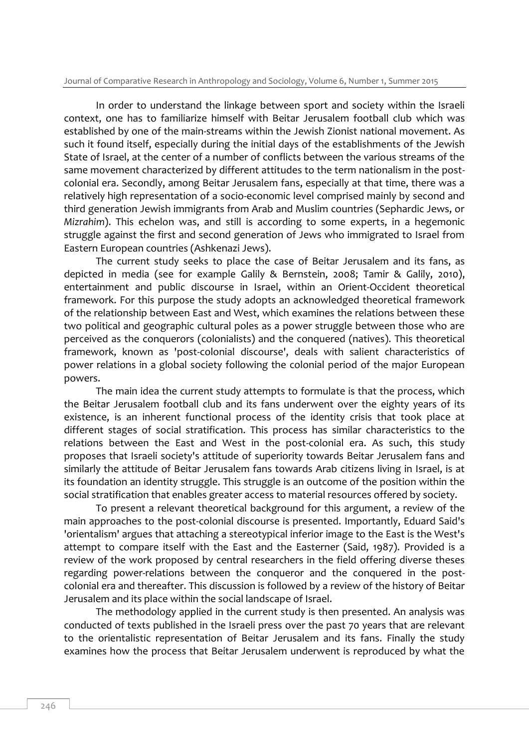In order to understand the linkage between sport and society within the Israeli context, one has to familiarize himself with Beitar Jerusalem football club which was established by one of the main-streams within the Jewish Zionist national movement. As such it found itself, especially during the initial days of the establishments of the Jewish State of Israel, at the center of a number of conflicts between the various streams of the same movement characterized by different attitudes to the term nationalism in the postcolonial era. Secondly, among Beitar Jerusalem fans, especially at that time, there was a relatively high representation of a socio-economic level comprised mainly by second and third generation Jewish immigrants from Arab and Muslim countries (Sephardic Jews, or *Mizrahim*). This echelon was, and still is according to some experts, in a hegemonic struggle against the first and second generation of Jews who immigrated to Israel from Eastern European countries (Ashkenazi Jews).

The current study seeks to place the case of Beitar Jerusalem and its fans, as depicted in media (see for example Galily & Bernstein, 2008; Tamir & Galily, 2010), entertainment and public discourse in Israel, within an Orient-Occident theoretical framework. For this purpose the study adopts an acknowledged theoretical framework of the relationship between East and West, which examines the relations between these two political and geographic cultural poles as a power struggle between those who are perceived as the conquerors (colonialists) and the conquered (natives). This theoretical framework, known as 'post-colonial discourse', deals with salient characteristics of power relations in a global society following the colonial period of the major European powers.

The main idea the current study attempts to formulate is that the process, which the Beitar Jerusalem football club and its fans underwent over the eighty years of its existence, is an inherent functional process of the identity crisis that took place at different stages of social stratification. This process has similar characteristics to the relations between the East and West in the post-colonial era. As such, this study proposes that Israeli society's attitude of superiority towards Beitar Jerusalem fans and similarly the attitude of Beitar Jerusalem fans towards Arab citizens living in Israel, is at its foundation an identity struggle. This struggle is an outcome of the position within the social stratification that enables greater access to material resources offered by society.

To present a relevant theoretical background for this argument, a review of the main approaches to the post-colonial discourse is presented. Importantly, Eduard Said's 'orientalism' argues that attaching a stereotypical inferior image to the East is the West's attempt to compare itself with the East and the Easterner (Said, 1987). Provided is a review of the work proposed by central researchers in the field offering diverse theses regarding power-relations between the conqueror and the conquered in the postcolonial era and thereafter. This discussion is followed by a review of the history of Beitar Jerusalem and its place within the social landscape of Israel.

The methodology applied in the current study is then presented. An analysis was conducted of texts published in the Israeli press over the past 70 years that are relevant to the orientalistic representation of Beitar Jerusalem and its fans. Finally the study examines how the process that Beitar Jerusalem underwent is reproduced by what the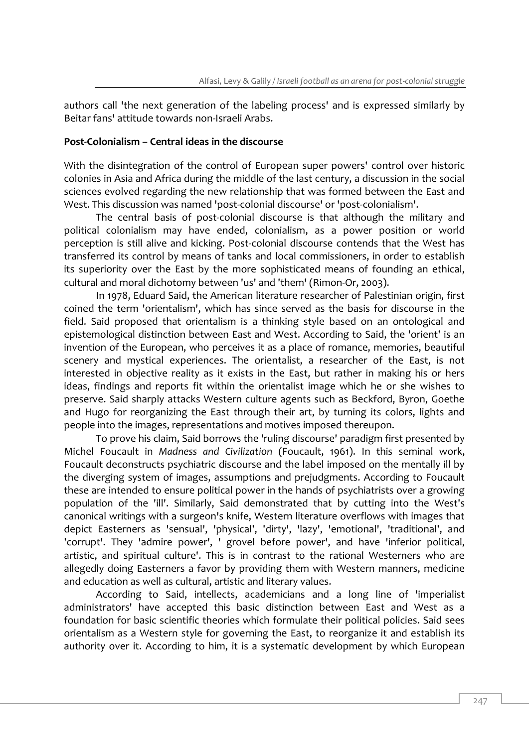authors call 'the next generation of the labeling process' and is expressed similarly by Beitar fans' attitude towards non-Israeli Arabs.

## **Post-Colonialism – Central ideas in the discourse**

With the disintegration of the control of European super powers' control over historic colonies in Asia and Africa during the middle of the last century, a discussion in the social sciences evolved regarding the new relationship that was formed between the East and West. This discussion was named 'post-colonial discourse' or 'post-colonialism'.

The central basis of post-colonial discourse is that although the military and political colonialism may have ended, colonialism, as a power position or world perception is still alive and kicking. Post-colonial discourse contends that the West has transferred its control by means of tanks and local commissioners, in order to establish its superiority over the East by the more sophisticated means of founding an ethical, cultural and moral dichotomy between 'us' and 'them' (Rimon-Or, 2003).

In 1978, Eduard Said, the American literature researcher of Palestinian origin, first coined the term 'orientalism', which has since served as the basis for discourse in the field. Said proposed that orientalism is a thinking style based on an ontological and epistemological distinction between East and West. According to Said, the 'orient' is an invention of the European, who perceives it as a place of romance, memories, beautiful scenery and mystical experiences. The orientalist, a researcher of the East, is not interested in objective reality as it exists in the East, but rather in making his or hers ideas, findings and reports fit within the orientalist image which he or she wishes to preserve. Said sharply attacks Western culture agents such as Beckford, Byron, Goethe and Hugo for reorganizing the East through their art, by turning its colors, lights and people into the images, representations and motives imposed thereupon.

To prove his claim, Said borrows the 'ruling discourse' paradigm first presented by Michel Foucault in *Madness and Civilization* (Foucault, 1961). In this seminal work, Foucault deconstructs psychiatric discourse and the label imposed on the mentally ill by the diverging system of images, assumptions and prejudgments. According to Foucault these are intended to ensure political power in the hands of psychiatrists over a growing population of the 'ill'. Similarly, Said demonstrated that by cutting into the West's canonical writings with a surgeon's knife, Western literature overflows with images that depict Easterners as 'sensual', 'physical', 'dirty', 'lazy', 'emotional', 'traditional', and 'corrupt'. They 'admire power', ' grovel before power', and have 'inferior political, artistic, and spiritual culture'. This is in contrast to the rational Westerners who are allegedly doing Easterners a favor by providing them with Western manners, medicine and education as well as cultural, artistic and literary values.

According to Said, intellects, academicians and a long line of 'imperialist administrators' have accepted this basic distinction between East and West as a foundation for basic scientific theories which formulate their political policies. Said sees orientalism as a Western style for governing the East, to reorganize it and establish its authority over it. According to him, it is a systematic development by which European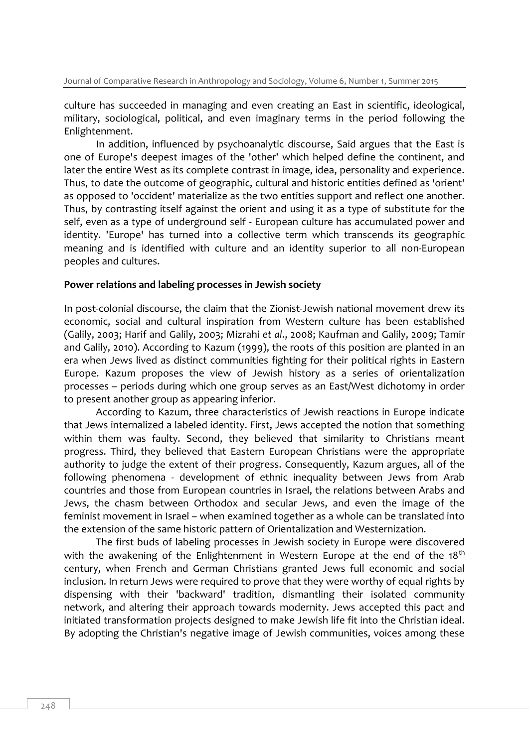culture has succeeded in managing and even creating an East in scientific, ideological, military, sociological, political, and even imaginary terms in the period following the Enlightenment.

In addition, influenced by psychoanalytic discourse, Said argues that the East is one of Europe's deepest images of the 'other' which helped define the continent, and later the entire West as its complete contrast in image, idea, personality and experience. Thus, to date the outcome of geographic, cultural and historic entities defined as 'orient' as opposed to 'occident' materialize as the two entities support and reflect one another. Thus, by contrasting itself against the orient and using it as a type of substitute for the self, even as a type of underground self - European culture has accumulated power and identity. 'Europe' has turned into a collective term which transcends its geographic meaning and is identified with culture and an identity superior to all non-European peoples and cultures.

#### **Power relations and labeling processes in Jewish society**

In post-colonial discourse, the claim that the Zionist-Jewish national movement drew its economic, social and cultural inspiration from Western culture has been established (Galily, 2003; Harif and Galily, 2003; Mizrahi *et al*., 2008; Kaufman and Galily, 2009; Tamir and Galily, 2010). According to Kazum (1999), the roots of this position are planted in an era when Jews lived as distinct communities fighting for their political rights in Eastern Europe. Kazum proposes the view of Jewish history as a series of orientalization processes – periods during which one group serves as an East/West dichotomy in order to present another group as appearing inferior.

According to Kazum, three characteristics of Jewish reactions in Europe indicate that Jews internalized a labeled identity. First, Jews accepted the notion that something within them was faulty. Second, they believed that similarity to Christians meant progress. Third, they believed that Eastern European Christians were the appropriate authority to judge the extent of their progress. Consequently, Kazum argues, all of the following phenomena - development of ethnic inequality between Jews from Arab countries and those from European countries in Israel, the relations between Arabs and Jews, the chasm between Orthodox and secular Jews, and even the image of the feminist movement in Israel – when examined together as a whole can be translated into the extension of the same historic pattern of Orientalization and Westernization.

The first buds of labeling processes in Jewish society in Europe were discovered with the awakening of the Enlightenment in Western Europe at the end of the 18<sup>th</sup> century, when French and German Christians granted Jews full economic and social inclusion. In return Jews were required to prove that they were worthy of equal rights by dispensing with their 'backward' tradition, dismantling their isolated community network, and altering their approach towards modernity. Jews accepted this pact and initiated transformation projects designed to make Jewish life fit into the Christian ideal. By adopting the Christian's negative image of Jewish communities, voices among these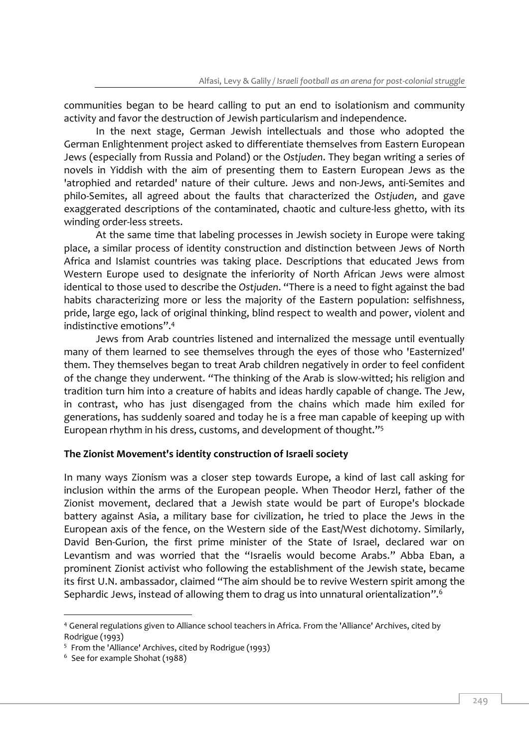communities began to be heard calling to put an end to isolationism and community activity and favor the destruction of Jewish particularism and independence.

In the next stage, German Jewish intellectuals and those who adopted the German Enlightenment project asked to differentiate themselves from Eastern European Jews (especially from Russia and Poland) or the *Ostjuden*. They began writing a series of novels in Yiddish with the aim of presenting them to Eastern European Jews as the 'atrophied and retarded' nature of their culture. Jews and non-Jews, anti-Semites and philo-Semites, all agreed about the faults that characterized the *Ostjuden*, and gave exaggerated descriptions of the contaminated, chaotic and culture-less ghetto, with its winding order-less streets.

At the same time that labeling processes in Jewish society in Europe were taking place, a similar process of identity construction and distinction between Jews of North Africa and Islamist countries was taking place. Descriptions that educated Jews from Western Europe used to designate the inferiority of North African Jews were almost identical to those used to describe the *Ostjuden*. "There is a need to fight against the bad habits characterizing more or less the majority of the Eastern population: selfishness, pride, large ego, lack of original thinking, blind respect to wealth and power, violent and indistinctive emotions". 4

Jews from Arab countries listened and internalized the message until eventually many of them learned to see themselves through the eyes of those who 'Easternized' them. They themselves began to treat Arab children negatively in order to feel confident of the change they underwent. "The thinking of the Arab is slow-witted; his religion and tradition turn him into a creature of habits and ideas hardly capable of change. The Jew, in contrast, who has just disengaged from the chains which made him exiled for generations, has suddenly soared and today he is a free man capable of keeping up with European rhythm in his dress, customs, and development of thought." 5

## **The Zionist Movement's identity construction of Israeli society**

In many ways Zionism was a closer step towards Europe, a kind of last call asking for inclusion within the arms of the European people. When Theodor Herzl, father of the Zionist movement, declared that a Jewish state would be part of Europe's blockade battery against Asia, a military base for civilization, he tried to place the Jews in the European axis of the fence, on the Western side of the East/West dichotomy. Similarly, David Ben-Gurion, the first prime minister of the State of Israel, declared war on Levantism and was worried that the "Israelis would become Arabs." Abba Eban, a prominent Zionist activist who following the establishment of the Jewish state, became its first U.N. ambassador, claimed "The aim should be to revive Western spirit among the Sephardic Jews, instead of allowing them to drag us into unnatural orientalization". 6

<sup>4</sup> General regulations given to Alliance school teachers in Africa. From the 'Alliance' Archives, cited by Rodrigue (1993)

<sup>5</sup> From the 'Alliance' Archives, cited by Rodrigue (1993)

<sup>6</sup> See for example Shohat (1988)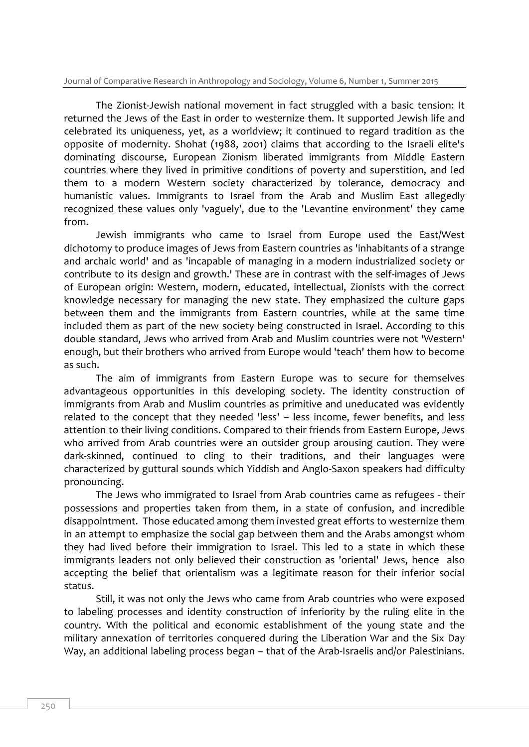The Zionist-Jewish national movement in fact struggled with a basic tension: It returned the Jews of the East in order to westernize them. It supported Jewish life and celebrated its uniqueness, yet, as a worldview; it continued to regard tradition as the opposite of modernity. Shohat (1988, 2001) claims that according to the Israeli elite's dominating discourse, European Zionism liberated immigrants from Middle Eastern countries where they lived in primitive conditions of poverty and superstition, and led them to a modern Western society characterized by tolerance, democracy and humanistic values. Immigrants to Israel from the Arab and Muslim East allegedly recognized these values only 'vaguely', due to the 'Levantine environment' they came from.

Jewish immigrants who came to Israel from Europe used the East/West dichotomy to produce images of Jews from Eastern countries as 'inhabitants of a strange and archaic world' and as 'incapable of managing in a modern industrialized society or contribute to its design and growth.' These are in contrast with the self-images of Jews of European origin: Western, modern, educated, intellectual, Zionists with the correct knowledge necessary for managing the new state. They emphasized the culture gaps between them and the immigrants from Eastern countries, while at the same time included them as part of the new society being constructed in Israel. According to this double standard, Jews who arrived from Arab and Muslim countries were not 'Western' enough, but their brothers who arrived from Europe would 'teach' them how to become as such.

The aim of immigrants from Eastern Europe was to secure for themselves advantageous opportunities in this developing society. The identity construction of immigrants from Arab and Muslim countries as primitive and uneducated was evidently related to the concept that they needed 'less' – less income, fewer benefits, and less attention to their living conditions. Compared to their friends from Eastern Europe, Jews who arrived from Arab countries were an outsider group arousing caution. They were dark-skinned, continued to cling to their traditions, and their languages were characterized by guttural sounds which Yiddish and Anglo-Saxon speakers had difficulty pronouncing.

The Jews who immigrated to Israel from Arab countries came as refugees - their possessions and properties taken from them, in a state of confusion, and incredible disappointment. Those educated among them invested great efforts to westernize them in an attempt to emphasize the social gap between them and the Arabs amongst whom they had lived before their immigration to Israel. This led to a state in which these immigrants leaders not only believed their construction as 'oriental' Jews, hence also accepting the belief that orientalism was a legitimate reason for their inferior social status.

Still, it was not only the Jews who came from Arab countries who were exposed to labeling processes and identity construction of inferiority by the ruling elite in the country. With the political and economic establishment of the young state and the military annexation of territories conquered during the Liberation War and the Six Day Way, an additional labeling process began – that of the Arab-Israelis and/or Palestinians.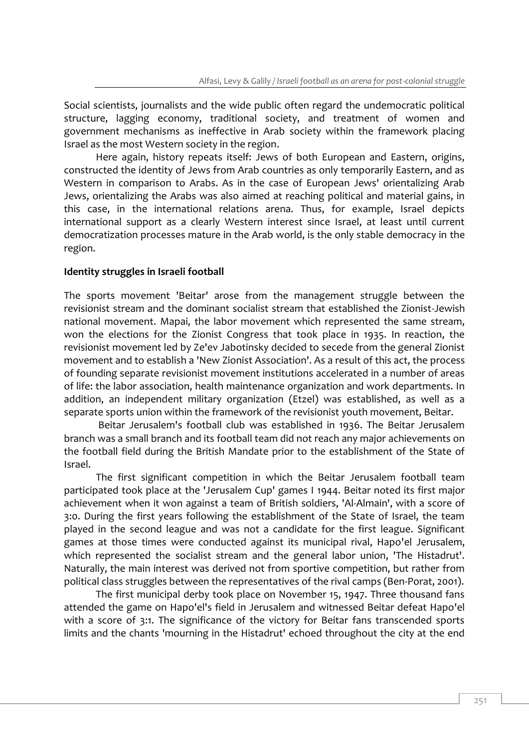Social scientists, journalists and the wide public often regard the undemocratic political structure, lagging economy, traditional society, and treatment of women and government mechanisms as ineffective in Arab society within the framework placing Israel as the most Western society in the region.

Here again, history repeats itself: Jews of both European and Eastern, origins, constructed the identity of Jews from Arab countries as only temporarily Eastern, and as Western in comparison to Arabs. As in the case of European Jews' orientalizing Arab Jews, orientalizing the Arabs was also aimed at reaching political and material gains, in this case, in the international relations arena. Thus, for example, Israel depicts international support as a clearly Western interest since Israel, at least until current democratization processes mature in the Arab world, is the only stable democracy in the region.

## **Identity struggles in Israeli football**

The sports movement 'Beitar' arose from the management struggle between the revisionist stream and the dominant socialist stream that established the Zionist-Jewish national movement. Mapai, the labor movement which represented the same stream, won the elections for the Zionist Congress that took place in 1935. In reaction, the revisionist movement led by Ze'ev Jabotinsky decided to secede from the general Zionist movement and to establish a 'New Zionist Association'. As a result of this act, the process of founding separate revisionist movement institutions accelerated in a number of areas of life: the labor association, health maintenance organization and work departments. In addition, an independent military organization (Etzel) was established, as well as a separate sports union within the framework of the revisionist youth movement, Beitar.

Beitar Jerusalem's football club was established in 1936. The Beitar Jerusalem branch was a small branch and its football team did not reach any major achievements on the football field during the British Mandate prior to the establishment of the State of Israel.

The first significant competition in which the Beitar Jerusalem football team participated took place at the 'Jerusalem Cup' games I 1944. Beitar noted its first major achievement when it won against a team of British soldiers, 'Al-Almain', with a score of 3:0. During the first years following the establishment of the State of Israel, the team played in the second league and was not a candidate for the first league. Significant games at those times were conducted against its municipal rival, Hapo'el Jerusalem, which represented the socialist stream and the general labor union, 'The Histadrut'. Naturally, the main interest was derived not from sportive competition, but rather from political class struggles between the representatives of the rival camps (Ben-Porat, 2001).

The first municipal derby took place on November 15, 1947. Three thousand fans attended the game on Hapo'el's field in Jerusalem and witnessed Beitar defeat Hapo'el with a score of 3:1. The significance of the victory for Beitar fans transcended sports limits and the chants 'mourning in the Histadrut' echoed throughout the city at the end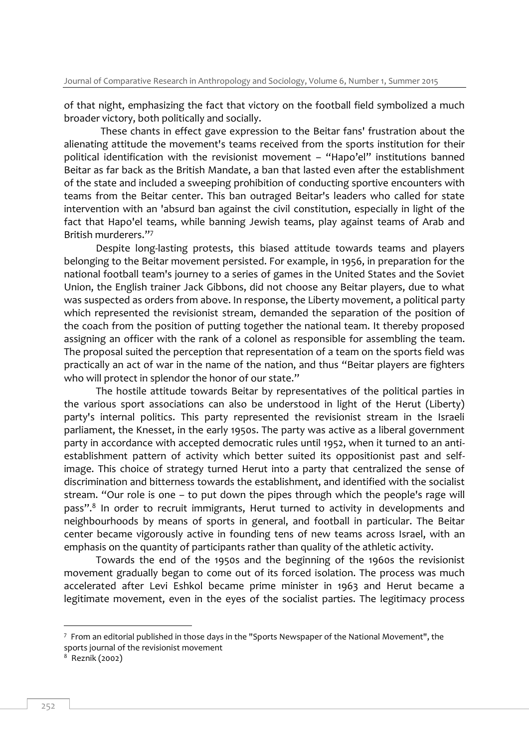of that night, emphasizing the fact that victory on the football field symbolized a much broader victory, both politically and socially.

 These chants in effect gave expression to the Beitar fans' frustration about the alienating attitude the movement's teams received from the sports institution for their political identification with the revisionist movement – "Hapo'el" institutions banned Beitar as far back as the British Mandate, a ban that lasted even after the establishment of the state and included a sweeping prohibition of conducting sportive encounters with teams from the Beitar center. This ban outraged Beitar's leaders who called for state intervention with an 'absurd ban against the civil constitution, especially in light of the fact that Hapo'el teams, while banning Jewish teams, play against teams of Arab and British murderers." 7

Despite long-lasting protests, this biased attitude towards teams and players belonging to the Beitar movement persisted. For example, in 1956, in preparation for the national football team's journey to a series of games in the United States and the Soviet Union, the English trainer Jack Gibbons, did not choose any Beitar players, due to what was suspected as orders from above. In response, the Liberty movement, a political party which represented the revisionist stream, demanded the separation of the position of the coach from the position of putting together the national team. It thereby proposed assigning an officer with the rank of a colonel as responsible for assembling the team. The proposal suited the perception that representation of a team on the sports field was practically an act of war in the name of the nation, and thus "Beitar players are fighters who will protect in splendor the honor of our state."

The hostile attitude towards Beitar by representatives of the political parties in the various sport associations can also be understood in light of the Herut (Liberty) party's internal politics. This party represented the revisionist stream in the Israeli parliament, the Knesset, in the early 1950s. The party was active as a liberal government party in accordance with accepted democratic rules until 1952, when it turned to an antiestablishment pattern of activity which better suited its oppositionist past and selfimage. This choice of strategy turned Herut into a party that centralized the sense of discrimination and bitterness towards the establishment, and identified with the socialist stream. "Our role is one – to put down the pipes through which the people's rage will pass".<sup>8</sup> In order to recruit immigrants, Herut turned to activity in developments and neighbourhoods by means of sports in general, and football in particular. The Beitar center became vigorously active in founding tens of new teams across Israel, with an emphasis on the quantity of participants rather than quality of the athletic activity.

Towards the end of the 1950s and the beginning of the 1960s the revisionist movement gradually began to come out of its forced isolation. The process was much accelerated after Levi Eshkol became prime minister in 1963 and Herut became a legitimate movement, even in the eyes of the socialist parties. The legitimacy process

 $7$  From an editorial published in those days in the "Sports Newspaper of the National Movement", the sports journal of the revisionist movement

<sup>8</sup> Reznik (2002)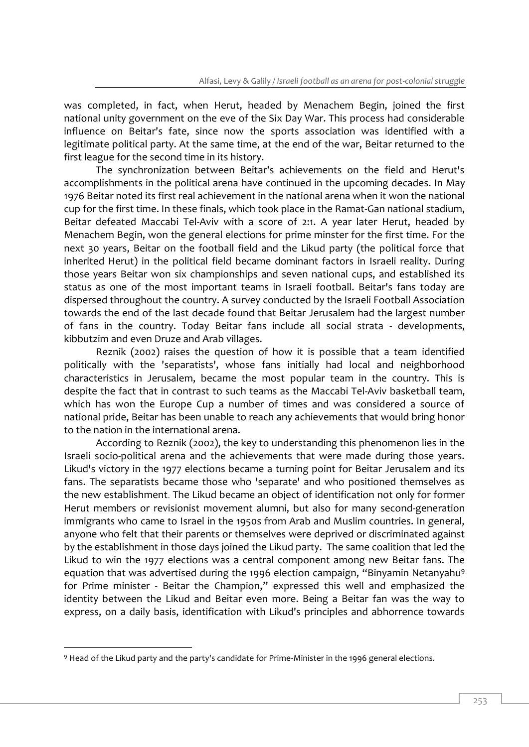was completed, in fact, when Herut, headed by Menachem Begin, joined the first national unity government on the eve of the Six Day War. This process had considerable influence on Beitar's fate, since now the sports association was identified with a legitimate political party. At the same time, at the end of the war, Beitar returned to the first league for the second time in its history.

The synchronization between Beitar's achievements on the field and Herut's accomplishments in the political arena have continued in the upcoming decades. In May 1976 Beitar noted its first real achievement in the national arena when it won the national cup for the first time. In these finals, which took place in the Ramat-Gan national stadium, Beitar defeated Maccabi Tel-Aviv with a score of 2:1. A year later Herut, headed by Menachem Begin, won the general elections for prime minster for the first time. For the next 30 years, Beitar on the football field and the Likud party (the political force that inherited Herut) in the political field became dominant factors in Israeli reality. During those years Beitar won six championships and seven national cups, and established its status as one of the most important teams in Israeli football. Beitar's fans today are dispersed throughout the country. A survey conducted by the Israeli Football Association towards the end of the last decade found that Beitar Jerusalem had the largest number of fans in the country. Today Beitar fans include all social strata - developments, kibbutzim and even Druze and Arab villages.

Reznik (2002) raises the question of how it is possible that a team identified politically with the 'separatists', whose fans initially had local and neighborhood characteristics in Jerusalem, became the most popular team in the country. This is despite the fact that in contrast to such teams as the Maccabi Tel-Aviv basketball team, which has won the Europe Cup a number of times and was considered a source of national pride, Beitar has been unable to reach any achievements that would bring honor to the nation in the international arena.

According to Reznik (2002), the key to understanding this phenomenon lies in the Israeli socio-political arena and the achievements that were made during those years. Likud's victory in the 1977 elections became a turning point for Beitar Jerusalem and its fans. The separatists became those who 'separate' and who positioned themselves as the new establishment. The Likud became an object of identification not only for former Herut members or revisionist movement alumni, but also for many second-generation immigrants who came to Israel in the 1950s from Arab and Muslim countries. In general, anyone who felt that their parents or themselves were deprived or discriminated against by the establishment in those days joined the Likud party. The same coalition that led the Likud to win the 1977 elections was a central component among new Beitar fans. The equation that was advertised during the 1996 election campaign, "Binyamin Netanyahu<sup>9</sup> for Prime minister - Beitar the Champion," expressed this well and emphasized the identity between the Likud and Beitar even more. Being a Beitar fan was the way to express, on a daily basis, identification with Likud's principles and abhorrence towards

<sup>9</sup> Head of the Likud party and the party's candidate for Prime-Minister in the 1996 general elections.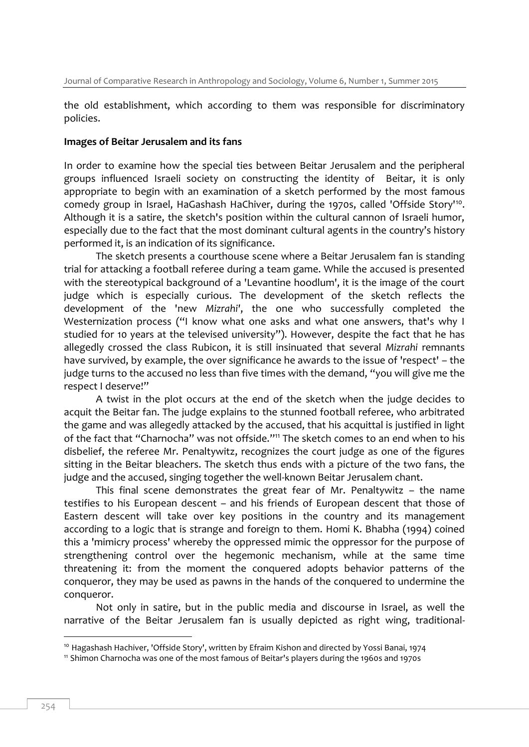the old establishment, which according to them was responsible for discriminatory policies.

#### **Images of Beitar Jerusalem and its fans**

In order to examine how the special ties between Beitar Jerusalem and the peripheral groups influenced Israeli society on constructing the identity of Beitar, it is only appropriate to begin with an examination of a sketch performed by the most famous comedy group in Israel, HaGashash HaChiver, during the 1970s, called 'Offside Story'<sup>10</sup>. Although it is a satire, the sketch's position within the cultural cannon of Israeli humor, especially due to the fact that the most dominant cultural agents in the country's history performed it, is an indication of its significance.

The sketch presents a courthouse scene where a Beitar Jerusalem fan is standing trial for attacking a football referee during a team game. While the accused is presented with the stereotypical background of a 'Levantine hoodlum', it is the image of the court judge which is especially curious. The development of the sketch reflects the development of the 'new *Mizrahi'*, the one who successfully completed the Westernization process ("I know what one asks and what one answers, that's why I studied for 10 years at the televised university"). However, despite the fact that he has allegedly crossed the class Rubicon, it is still insinuated that several *Mizrahi* remnants have survived, by example, the over significance he awards to the issue of 'respect' – the judge turns to the accused no less than five times with the demand, "you will give me the respect I deserve!"

A twist in the plot occurs at the end of the sketch when the judge decides to acquit the Beitar fan. The judge explains to the stunned football referee, who arbitrated the game and was allegedly attacked by the accused, that his acquittal is justified in light of the fact that "Charnocha" was not offside." <sup>11</sup> The sketch comes to an end when to his disbelief, the referee Mr. Penaltywitz, recognizes the court judge as one of the figures sitting in the Beitar bleachers. The sketch thus ends with a picture of the two fans, the judge and the accused, singing together the well-known Beitar Jerusalem chant.

This final scene demonstrates the great fear of Mr. Penaltywitz – the name testifies to his European descent – and his friends of European descent that those of Eastern descent will take over key positions in the country and its management according to a logic that is strange and foreign to them. Homi K. Bhabha (1994) coined this a 'mimicry process' whereby the oppressed mimic the oppressor for the purpose of strengthening control over the hegemonic mechanism, while at the same time threatening it: from the moment the conquered adopts behavior patterns of the conqueror, they may be used as pawns in the hands of the conquered to undermine the conqueror.

Not only in satire, but in the public media and discourse in Israel, as well the narrative of the Beitar Jerusalem fan is usually depicted as right wing, traditional-

<sup>&</sup>lt;sup>10</sup> Hagashash Hachiver, 'Offside Story', written by Efraim Kishon and directed by Yossi Banai, 1974

<sup>11</sup> Shimon Charnocha was one of the most famous of Beitar's players during the 1960s and 1970s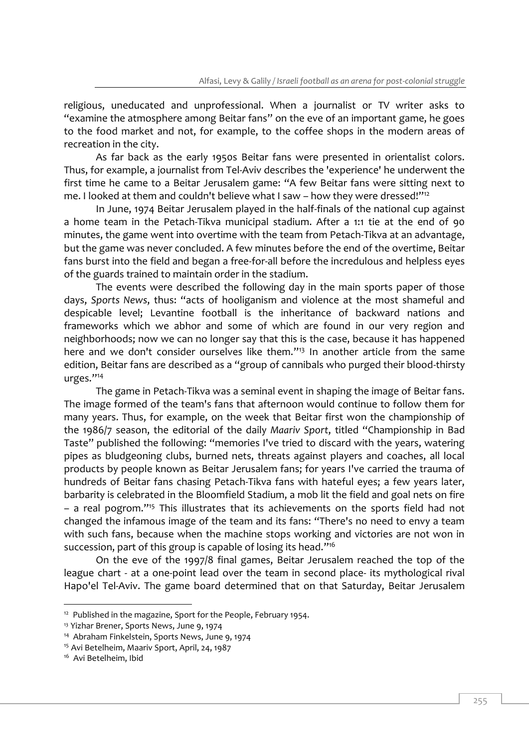religious, uneducated and unprofessional. When a journalist or TV writer asks to "examine the atmosphere among Beitar fans" on the eve of an important game, he goes to the food market and not, for example, to the coffee shops in the modern areas of recreation in the city.

As far back as the early 1950s Beitar fans were presented in orientalist colors. Thus, for example, a journalist from Tel-Aviv describes the 'experience' he underwent the first time he came to a Beitar Jerusalem game: "A few Beitar fans were sitting next to me. I looked at them and couldn't believe what I saw – how they were dressed!" 12

In June, 1974 Beitar Jerusalem played in the half-finals of the national cup against a home team in the Petach-Tikva municipal stadium. After a 1:1 tie at the end of 90 minutes, the game went into overtime with the team from Petach-Tikva at an advantage, but the game was never concluded. A few minutes before the end of the overtime, Beitar fans burst into the field and began a free-for-all before the incredulous and helpless eyes of the guards trained to maintain order in the stadium.

The events were described the following day in the main sports paper of those days, *Sports News*, thus: "acts of hooliganism and violence at the most shameful and despicable level; Levantine football is the inheritance of backward nations and frameworks which we abhor and some of which are found in our very region and neighborhoods; now we can no longer say that this is the case, because it has happened here and we don't consider ourselves like them." <sup>13</sup> In another article from the same edition, Beitar fans are described as a "group of cannibals who purged their blood-thirsty urges." 14

The game in Petach-Tikva was a seminal event in shaping the image of Beitar fans. The image formed of the team's fans that afternoon would continue to follow them for many years. Thus, for example, on the week that Beitar first won the championship of the 1986/7 season, the editorial of the daily *Maariv Sport*, titled "Championship in Bad Taste" published the following: "memories I've tried to discard with the years, watering pipes as bludgeoning clubs, burned nets, threats against players and coaches, all local products by people known as Beitar Jerusalem fans; for years I've carried the trauma of hundreds of Beitar fans chasing Petach-Tikva fans with hateful eyes; a few years later, barbarity is celebrated in the Bloomfield Stadium, a mob lit the field and goal nets on fire – a real pogrom." <sup>15</sup> This illustrates that its achievements on the sports field had not changed the infamous image of the team and its fans: "There's no need to envy a team with such fans, because when the machine stops working and victories are not won in succession, part of this group is capable of losing its head." 16

On the eve of the 1997/8 final games, Beitar Jerusalem reached the top of the league chart - at a one-point lead over the team in second place- its mythological rival Hapo'el Tel-Aviv. The game board determined that on that Saturday, Beitar Jerusalem

<sup>&</sup>lt;sup>12</sup> Published in the magazine, Sport for the People, February 1954.

<sup>13</sup> Yizhar Brener, Sports News, June 9, 1974

<sup>&</sup>lt;sup>14</sup> Abraham Finkelstein, Sports News, June 9, 1974

<sup>15</sup> Avi Betelheim, Maariv Sport, April, 24, 1987

<sup>16</sup> Avi Betelheim, Ibid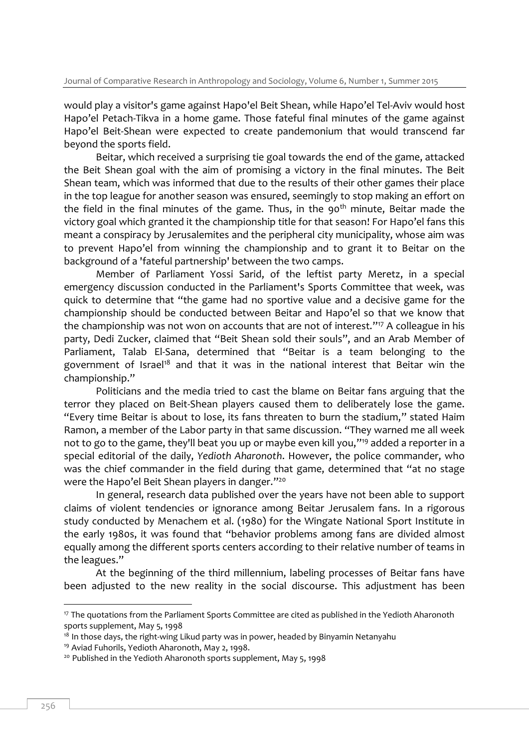would play a visitor's game against Hapo'el Beit Shean, while Hapo'el Tel-Aviv would host Hapo'el Petach-Tikva in a home game. Those fateful final minutes of the game against Hapo'el Beit-Shean were expected to create pandemonium that would transcend far beyond the sports field.

Beitar, which received a surprising tie goal towards the end of the game, attacked the Beit Shean goal with the aim of promising a victory in the final minutes. The Beit Shean team, which was informed that due to the results of their other games their place in the top league for another season was ensured, seemingly to stop making an effort on the field in the final minutes of the game. Thus, in the 90<sup>th</sup> minute, Beitar made the victory goal which granted it the championship title for that season! For Hapo'el fans this meant a conspiracy by Jerusalemites and the peripheral city municipality, whose aim was to prevent Hapo'el from winning the championship and to grant it to Beitar on the background of a 'fateful partnership' between the two camps.

Member of Parliament Yossi Sarid, of the leftist party Meretz, in a special emergency discussion conducted in the Parliament's Sports Committee that week, was quick to determine that "the game had no sportive value and a decisive game for the championship should be conducted between Beitar and Hapo'el so that we know that the championship was not won on accounts that are not of interest." <sup>17</sup> A colleague in his party, Dedi Zucker, claimed that "Beit Shean sold their souls", and an Arab Member of Parliament, Talab El-Sana, determined that "Beitar is a team belonging to the government of Israel<sup>18</sup> and that it was in the national interest that Beitar win the championship."

Politicians and the media tried to cast the blame on Beitar fans arguing that the terror they placed on Beit-Shean players caused them to deliberately lose the game. "Every time Beitar is about to lose, its fans threaten to burn the stadium," stated Haim Ramon, a member of the Labor party in that same discussion. "They warned me all week not to go to the game, they'll beat you up or maybe even kill you," <sup>19</sup> added a reporter in a special editorial of the daily, *Yedioth Aharonoth*. However, the police commander, who was the chief commander in the field during that game, determined that "at no stage were the Hapo'el Beit Shean players in danger." 20

In general, research data published over the years have not been able to support claims of violent tendencies or ignorance among Beitar Jerusalem fans. In a rigorous study conducted by Menachem et al. (1980) for the Wingate National Sport Institute in the early 1980s, it was found that "behavior problems among fans are divided almost equally among the different sports centers according to their relative number of teams in the leagues."

At the beginning of the third millennium, labeling processes of Beitar fans have been adjusted to the new reality in the social discourse. This adjustment has been

<sup>&</sup>lt;sup>17</sup> The quotations from the Parliament Sports Committee are cited as published in the Yedioth Aharonoth sports supplement, May 5, 1998

 $18$  In those days, the right-wing Likud party was in power, headed by Binyamin Netanyahu

<sup>19</sup> Aviad Fuhorils, Yedioth Aharonoth, May 2, 1998.

<sup>&</sup>lt;sup>20</sup> Published in the Yedioth Aharonoth sports supplement, May 5, 1998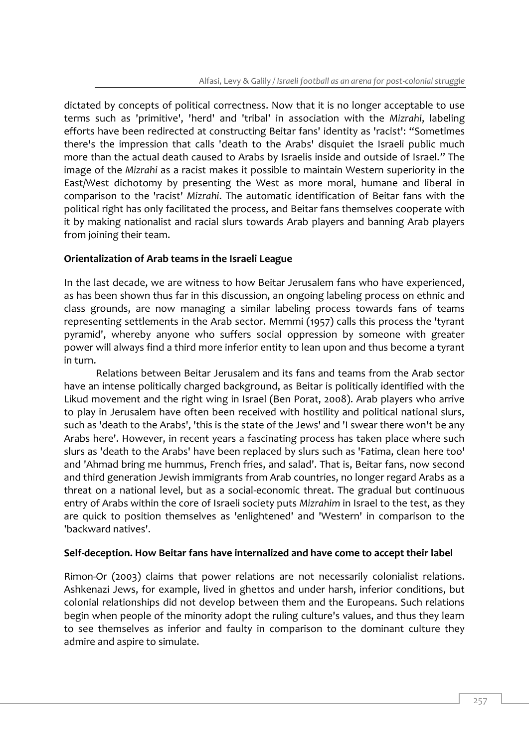dictated by concepts of political correctness. Now that it is no longer acceptable to use terms such as 'primitive', 'herd' and 'tribal' in association with the *Mizrahi*, labeling efforts have been redirected at constructing Beitar fans' identity as 'racist': "Sometimes there's the impression that calls 'death to the Arabs' disquiet the Israeli public much more than the actual death caused to Arabs by Israelis inside and outside of Israel." The image of the *Mizrahi* as a racist makes it possible to maintain Western superiority in the East/West dichotomy by presenting the West as more moral, humane and liberal in comparison to the 'racist' *Mizrahi*. The automatic identification of Beitar fans with the political right has only facilitated the process, and Beitar fans themselves cooperate with it by making nationalist and racial slurs towards Arab players and banning Arab players from joining their team.

## **Orientalization of Arab teams in the Israeli League**

In the last decade, we are witness to how Beitar Jerusalem fans who have experienced, as has been shown thus far in this discussion, an ongoing labeling process on ethnic and class grounds, are now managing a similar labeling process towards fans of teams representing settlements in the Arab sector. Memmi (1957) calls this process the 'tyrant pyramid', whereby anyone who suffers social oppression by someone with greater power will always find a third more inferior entity to lean upon and thus become a tyrant in turn.

Relations between Beitar Jerusalem and its fans and teams from the Arab sector have an intense politically charged background, as Beitar is politically identified with the Likud movement and the right wing in Israel (Ben Porat, 2008). Arab players who arrive to play in Jerusalem have often been received with hostility and political national slurs, such as 'death to the Arabs', 'this is the state of the Jews' and 'I swear there won't be any Arabs here'. However, in recent years a fascinating process has taken place where such slurs as 'death to the Arabs' have been replaced by slurs such as 'Fatima, clean here too' and 'Ahmad bring me hummus, French fries, and salad'. That is, Beitar fans, now second and third generation Jewish immigrants from Arab countries, no longer regard Arabs as a threat on a national level, but as a social-economic threat. The gradual but continuous entry of Arabs within the core of Israeli society puts *Mizrahim* in Israel to the test, as they are quick to position themselves as 'enlightened' and 'Western' in comparison to the 'backward natives'.

#### **Self-deception. How Beitar fans have internalized and have come to accept their label**

Rimon-Or (2003) claims that power relations are not necessarily colonialist relations. Ashkenazi Jews, for example, lived in ghettos and under harsh, inferior conditions, but colonial relationships did not develop between them and the Europeans. Such relations begin when people of the minority adopt the ruling culture's values, and thus they learn to see themselves as inferior and faulty in comparison to the dominant culture they admire and aspire to simulate.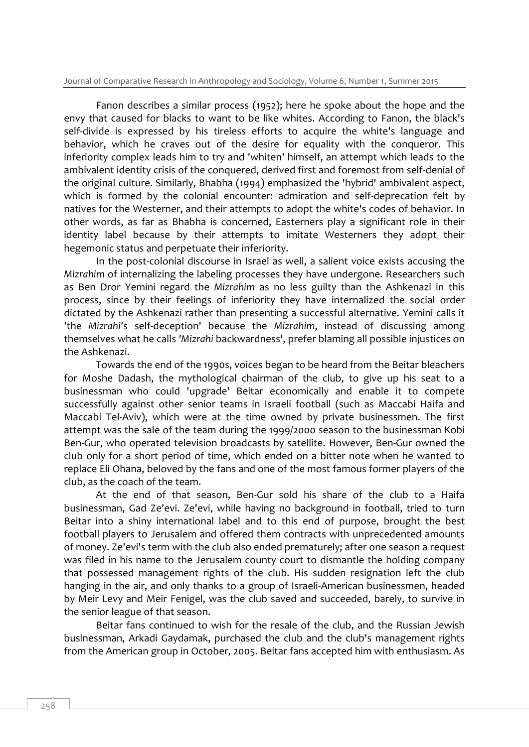Journal of Comparative Research in Anthropology and Sociology, Volume 6, Number 1, Summer 2015

Fanon describes a similar process (1952); here he spoke about the hope and the envy that caused for blacks to want to be like whites. According to Fanon, the black's self-divide is expressed by his tireless efforts to acquire the white's language and behavior, which he craves out of the desire for equality with the conqueror. This inferiority complex leads him to try and 'whiten' himself, an attempt which leads to the ambivalent identity crisis of the conquered, derived first and foremost from self-denial of the original culture. Similarly, Bhabha (1994) emphasized the 'hybrid' ambivalent aspect, which is formed by the colonial encounter: admiration and self-deprecation felt by natives for the Westerner, and their attempts to adopt the white's codes of behavior. In other words, as far as Bhabha is concerned, Easterners play a significant role in their identity label because by their attempts to imitate Westerners they adopt their hegemonic status and perpetuate their inferiority.

In the post-colonial discourse in Israel as well, a salient voice exists accusing the *Mizrahim* of internalizing the labeling processes they have undergone. Researchers such as Ben Dror Yemini regard the *Mizrahim* as no less guilty than the Ashkenazi in this process, since by their feelings of inferiority they have internalized the social order dictated by the Ashkenazi rather than presenting a successful alternative. Yemini calls it 'the *Mizrahi'*s self-deception' because the *Mizrahim*, instead of discussing among themselves what he calls *'Mizrahi* backwardness', prefer blaming all possible injustices on the Ashkenazi.

Towards the end of the 1990s, voices began to be heard from the Beitar bleachers for Moshe Dadash, the mythological chairman of the club, to give up his seat to a businessman who could 'upgrade' Beitar economically and enable it to compete successfully against other senior teams in Israeli football (such as Maccabi Haifa and Maccabi Tel-Aviv), which were at the time owned by private businessmen. The first attempt was the sale of the team during the 1999/2000 season to the businessman Kobi Ben-Gur, who operated television broadcasts by satellite. However, Ben-Gur owned the club only for a short period of time, which ended on a bitter note when he wanted to replace Eli Ohana, beloved by the fans and one of the most famous former players of the club, as the coach of the team.

At the end of that season, Ben-Gur sold his share of the club to a Haifa businessman, Gad Ze'evi. Ze'evi, while having no background in football, tried to turn Beitar into a shiny international label and to this end of purpose, brought the best football players to Jerusalem and offered them contracts with unprecedented amounts of money. Ze'evi's term with the club also ended prematurely; after one season a request was filed in his name to the Jerusalem county court to dismantle the holding company that possessed management rights of the club. His sudden resignation left the club hanging in the air, and only thanks to a group of Israeli-American businessmen, headed by Meir Levy and Meir Fenigel, was the club saved and succeeded, barely, to survive in the senior league of that season.

Beitar fans continued to wish for the resale of the club, and the Russian Jewish businessman, Arkadi Gaydamak, purchased the club and the club's management rights from the American group in October, 2005. Beitar fans accepted him with enthusiasm. As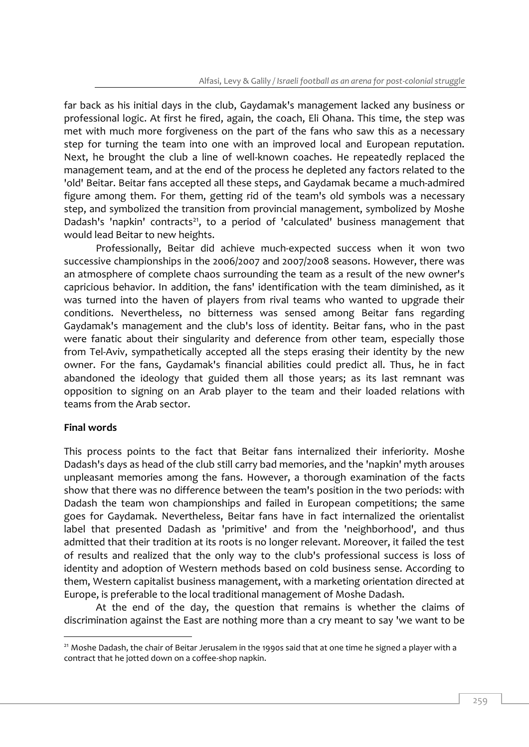far back as his initial days in the club, Gaydamak's management lacked any business or professional logic. At first he fired, again, the coach, Eli Ohana. This time, the step was met with much more forgiveness on the part of the fans who saw this as a necessary step for turning the team into one with an improved local and European reputation. Next, he brought the club a line of well-known coaches. He repeatedly replaced the management team, and at the end of the process he depleted any factors related to the 'old' Beitar. Beitar fans accepted all these steps, and Gaydamak became a much-admired figure among them. For them, getting rid of the team's old symbols was a necessary step, and symbolized the transition from provincial management, symbolized by Moshe Dadash's 'napkin' contracts<sup>21</sup>, to a period of 'calculated' business management that would lead Beitar to new heights.

Professionally, Beitar did achieve much-expected success when it won two successive championships in the 2006/2007 and 2007/2008 seasons. However, there was an atmosphere of complete chaos surrounding the team as a result of the new owner's capricious behavior. In addition, the fans' identification with the team diminished, as it was turned into the haven of players from rival teams who wanted to upgrade their conditions. Nevertheless, no bitterness was sensed among Beitar fans regarding Gaydamak's management and the club's loss of identity. Beitar fans, who in the past were fanatic about their singularity and deference from other team, especially those from Tel-Aviv, sympathetically accepted all the steps erasing their identity by the new owner. For the fans, Gaydamak's financial abilities could predict all. Thus, he in fact abandoned the ideology that guided them all those years; as its last remnant was opposition to signing on an Arab player to the team and their loaded relations with teams from the Arab sector.

#### **Final words**

-

This process points to the fact that Beitar fans internalized their inferiority. Moshe Dadash's days as head of the club still carry bad memories, and the 'napkin' myth arouses unpleasant memories among the fans. However, a thorough examination of the facts show that there was no difference between the team's position in the two periods: with Dadash the team won championships and failed in European competitions; the same goes for Gaydamak. Nevertheless, Beitar fans have in fact internalized the orientalist label that presented Dadash as 'primitive' and from the 'neighborhood', and thus admitted that their tradition at its roots is no longer relevant. Moreover, it failed the test of results and realized that the only way to the club's professional success is loss of identity and adoption of Western methods based on cold business sense. According to them, Western capitalist business management, with a marketing orientation directed at Europe, is preferable to the local traditional management of Moshe Dadash.

At the end of the day, the question that remains is whether the claims of discrimination against the East are nothing more than a cry meant to say 'we want to be

<sup>&</sup>lt;sup>21</sup> Moshe Dadash, the chair of Beitar Jerusalem in the 1990s said that at one time he signed a player with a contract that he jotted down on a coffee-shop napkin.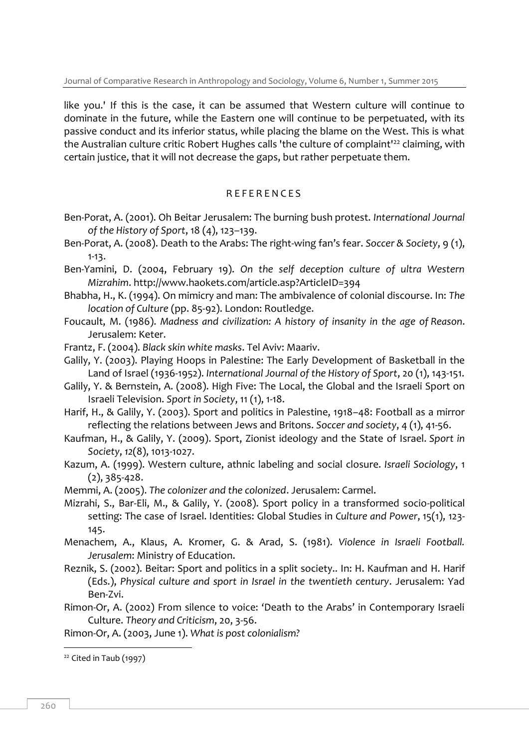like you.' If this is the case, it can be assumed that Western culture will continue to dominate in the future, while the Eastern one will continue to be perpetuated, with its passive conduct and its inferior status, while placing the blame on the West. This is what the Australian culture critic Robert Hughes calls 'the culture of complaint'<sup>22</sup> claiming, with certain justice, that it will not decrease the gaps, but rather perpetuate them.

## R E F E R E N C E S

- Ben-Porat, A. (2001). Oh Beitar Jerusalem: The burning bush protest. *International Journal of the History of Sport*, 18 (4), 123–139.
- Ben-Porat, A. (2008). Death to the Arabs: The right-wing fan's fear. *Soccer & Society*, 9 (1), 1-13.
- Ben-Yamini, D. (2004, February 19). *On the self deception culture of ultra Western Mizrahim*.<http://www.haokets.com/article.asp?ArticleID=394>
- Bhabha, H., K. (1994). On mimicry and man: The ambivalence of colonial discourse. In: *The location of Culture* (pp. 85-92). London: Routledge.
- Foucault, M. (1986). *Madness and civilization: A history of insanity in the age of Reason*. Jerusalem: Keter.
- Frantz, F. (2004). *Black skin white masks*. Tel Aviv: Maariv.
- Galily, Y. (2003). Playing Hoops in Palestine: The Early Development of Basketball in the Land of Israel (1936-1952). *International Journal of the History of Sport*, 20 (1), 143-151.
- Galily, Y. & Bernstein, A. (2008). High Five: The Local, the Global and the Israeli Sport on Israeli Television. *Sport in Society*, 11 (1), 1-18.
- Harif, H., & Galily, Y. (2003). Sport and politics in Palestine, 1918–48: Football as a mirror reflecting the relations between Jews and Britons. *Soccer and society*, 4 (1), 41-56.
- Kaufman, H., & Galily, Y. (2009). Sport, Zionist ideology and the State of Israel. *Sport in Society*, *12*(8), 1013-1027.
- Kazum, A. (1999). Western culture, athnic labeling and social closure. *Israeli Sociology*, 1 (2), 385-428.
- Memmi, A. (2005). *The colonizer and the colonized*. Jerusalem: Carmel.
- Mizrahi, S., Bar-Eli, M., & Galily, Y. (2008). Sport policy in a transformed socio-political setting: The case of Israel. Identities: Global Studies in *Culture and Power*, 15(1), 123- 145.
- Menachem, A., Klaus, A. Kromer, G. & Arad, S. (1981). *Violence in Israeli Football. Jerusalem*: Ministry of Education.
- Reznik, S. (2002). Beitar: Sport and politics in a split society.. In: H. Kaufman and H. Harif (Eds.), *Physical culture and sport in Israel in the twentieth century*. Jerusalem: Yad Ben-Zvi.
- Rimon-Or, A. (2002) From silence to voice: 'Death to the Arabs' in Contemporary Israeli Culture. *Theory and Criticism*, 20, 3-56.

Rimon-Or, A. (2003, June 1). *What is post colonialism?*

<sup>&</sup>lt;sup>22</sup> Cited in Taub (1997)